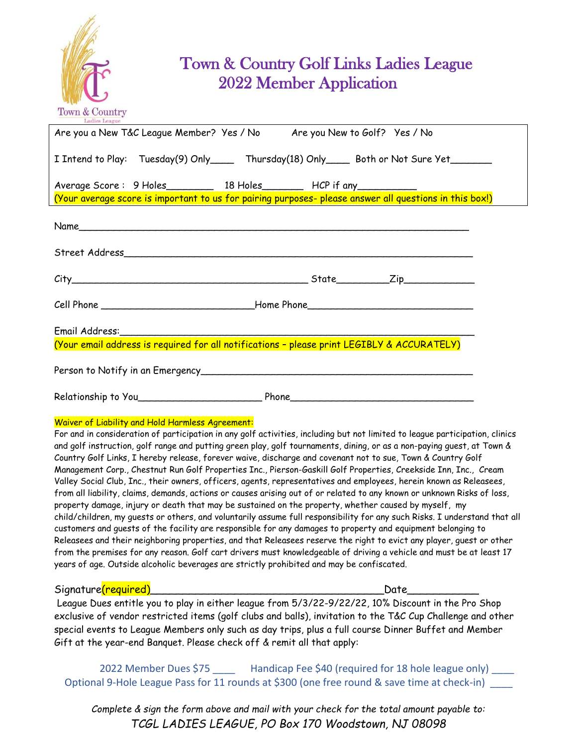

## Town & Country Golf Links Ladies League 2022 Member Application

| Ladies League                                                                                         |
|-------------------------------------------------------------------------------------------------------|
| Are you a New T&C League Member? Yes / No Are you New to Golf? Yes / No                               |
| I Intend to Play: Tuesday(9) Only_____ Thursday(18) Only____ Both or Not Sure Yet______               |
| Average Score: 9 Holes___________ 18 Holes_________ HCP if any___________                             |
| (Your average score is important to us for pairing purposes-please answer all questions in this box!) |
|                                                                                                       |
|                                                                                                       |
|                                                                                                       |
| Cell Phone __________________________________Home Phone__________________________                     |
|                                                                                                       |
| (Your email address is required for all notifications - please print LEGIBLY & ACCURATELY)            |
|                                                                                                       |
|                                                                                                       |
| Waiver of Liability and Hold Harmless Agreement:                                                      |

For and in consideration of participation in any golf activities, including but not limited to league participation, clinics and golf instruction, golf range and putting green play, golf tournaments, dining, or as a non-paying guest, at Town & Country Golf Links, I hereby release, forever waive, discharge and covenant not to sue, Town & Country Golf Management Corp., Chestnut Run Golf Properties Inc., Pierson-Gaskill Golf Properties, Creekside Inn, Inc., Cream Valley Social Club, Inc., their owners, officers, agents, representatives and employees, herein known as Releasees, from all liability, claims, demands, actions or causes arising out of or related to any known or unknown Risks of loss, property damage, injury or death that may be sustained on the property, whether caused by myself, my child/children, my guests or others, and voluntarily assume full responsibility for any such Risks. I understand that all customers and guests of the facility are responsible for any damages to property and equipment belonging to Releasees and their neighboring properties, and that Releasees reserve the right to evict any player, guest or other from the premises for any reason. Golf cart drivers must knowledgeable of driving a vehicle and must be at least 17 years of age. Outside alcoholic beverages are strictly prohibited and may be confiscated.

Signature(required)\_\_\_\_\_\_\_\_\_\_\_\_\_\_\_\_\_\_\_\_\_\_\_\_\_\_\_\_\_\_\_\_\_\_\_\_Date\_\_\_\_\_\_\_\_\_\_\_

League Dues entitle you to play in either league from 5/3/22-9/22/22, 10% Discount in the Pro Shop exclusive of vendor restricted items (golf clubs and balls), invitation to the T&C Cup Challenge and other special events to League Members only such as day trips, plus a full course Dinner Buffet and Member Gift at the year-end Banquet. Please check off & remit all that apply:

2022 Member Dues \$75 \_\_\_\_\_ Handicap Fee \$40 (required for 18 hole league only) \_\_\_\_ Optional 9-Hole League Pass for 11 rounds at \$300 (one free round & save time at check-in) \_\_\_

*Complete & sign the form above and mail with your check for the total amount payable to: TCGL LADIES LEAGUE, PO Box 170 Woodstown, NJ 08098*